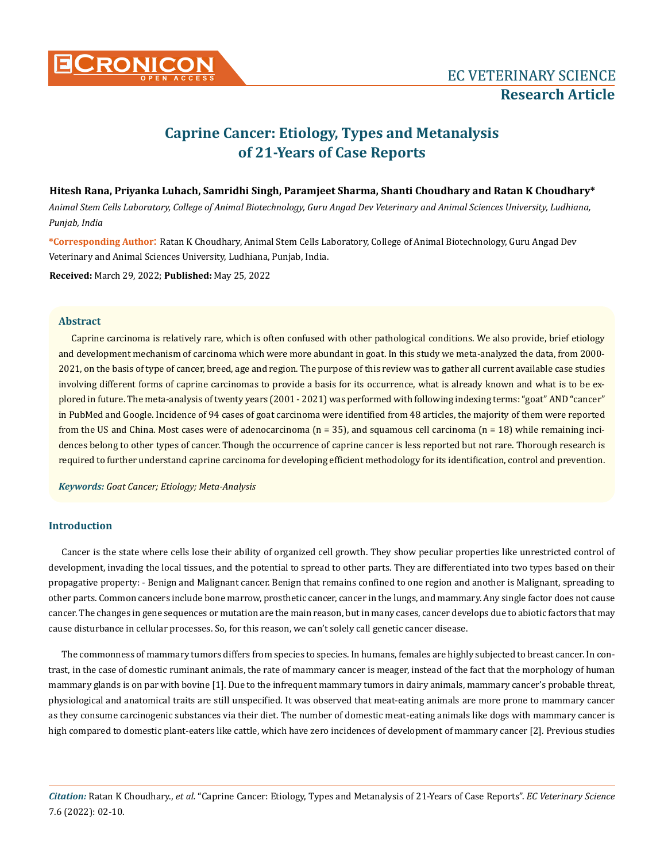

# **Caprine Cancer: Etiology, Types and Metanalysis of 21-Years of Case Reports**

# **Hitesh Rana, Priyanka Luhach, Samridhi Singh, Paramjeet Sharma, Shanti Choudhary and Ratan K Choudhary\***

*Animal Stem Cells Laboratory, College of Animal Biotechnology, Guru Angad Dev Veterinary and Animal Sciences University, Ludhiana, Punjab, India*

**\*Corresponding Author**: Ratan K Choudhary, Animal Stem Cells Laboratory, College of Animal Biotechnology, Guru Angad Dev Veterinary and Animal Sciences University, Ludhiana, Punjab, India.

**Received:** March 29, 2022; **Published:** May 25, 2022

# **Abstract**

Caprine carcinoma is relatively rare, which is often confused with other pathological conditions. We also provide, brief etiology and development mechanism of carcinoma which were more abundant in goat. In this study we meta-analyzed the data, from 2000- 2021, on the basis of type of cancer, breed, age and region. The purpose of this review was to gather all current available case studies involving different forms of caprine carcinomas to provide a basis for its occurrence, what is already known and what is to be explored in future. The meta-analysis of twenty years (2001 - 2021) was performed with following indexing terms: "goat" AND "cancer" in PubMed and Google. Incidence of 94 cases of goat carcinoma were identified from 48 articles, the majority of them were reported from the US and China. Most cases were of adenocarcinoma  $(n = 35)$ , and squamous cell carcinoma  $(n = 18)$  while remaining incidences belong to other types of cancer. Though the occurrence of caprine cancer is less reported but not rare. Thorough research is required to further understand caprine carcinoma for developing efficient methodology for its identification, control and prevention.

*Keywords: Goat Cancer; Etiology; Meta-Analysis* 

# **Introduction**

Cancer is the state where cells lose their ability of organized cell growth. They show peculiar properties like unrestricted control of development, invading the local tissues, and the potential to spread to other parts. They are differentiated into two types based on their propagative property: - Benign and Malignant cancer. Benign that remains confined to one region and another is Malignant, spreading to other parts. Common cancers include bone marrow, prosthetic cancer, cancer in the lungs, and mammary. Any single factor does not cause cancer. The changes in gene sequences or mutation are the main reason, but in many cases, cancer develops due to abiotic factors that may cause disturbance in cellular processes. So, for this reason, we can't solely call genetic cancer disease.

The commonness of mammary tumors differs from species to species. In humans, females are highly subjected to breast cancer. In contrast, in the case of domestic ruminant animals, the rate of mammary cancer is meager, instead of the fact that the morphology of human mammary glands is on par with bovine [1]. Due to the infrequent mammary tumors in dairy animals, mammary cancer's probable threat, physiological and anatomical traits are still unspecified. It was observed that meat-eating animals are more prone to mammary cancer as they consume carcinogenic substances via their diet. The number of domestic meat-eating animals like dogs with mammary cancer is high compared to domestic plant-eaters like cattle, which have zero incidences of development of mammary cancer [2]. Previous studies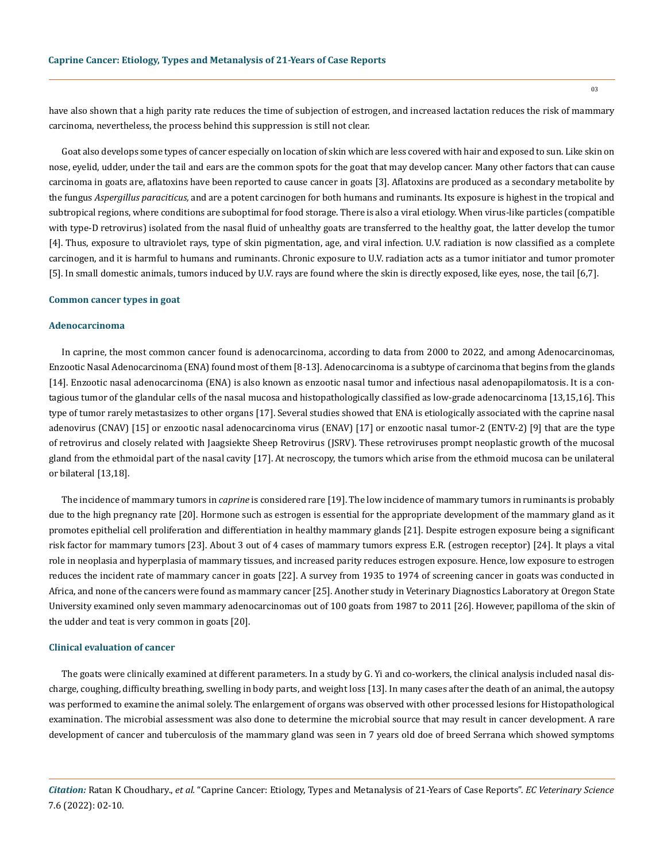have also shown that a high parity rate reduces the time of subjection of estrogen, and increased lactation reduces the risk of mammary carcinoma, nevertheless, the process behind this suppression is still not clear.

Goat also develops some types of cancer especially on location of skin which are less covered with hair and exposed to sun. Like skin on nose, eyelid, udder, under the tail and ears are the common spots for the goat that may develop cancer. Many other factors that can cause carcinoma in goats are, aflatoxins have been reported to cause cancer in goats [3]. Aflatoxins are produced as a secondary metabolite by the fungus *Aspergillus paraciticus,* and are a potent carcinogen for both humans and ruminants. Its exposure is highest in the tropical and subtropical regions, where conditions are suboptimal for food storage. There is also a viral etiology. When virus-like particles (compatible with type-D retrovirus) isolated from the nasal fluid of unhealthy goats are transferred to the healthy goat, the latter develop the tumor [4]. Thus, exposure to ultraviolet rays, type of skin pigmentation, age, and viral infection. U.V. radiation is now classified as a complete carcinogen, and it is harmful to humans and ruminants. Chronic exposure to U.V. radiation acts as a tumor initiator and tumor promoter [5]. In small domestic animals, tumors induced by U.V. rays are found where the skin is directly exposed, like eyes, nose, the tail [6,7].

## **Common cancer types in goat**

#### **Adenocarcinoma**

In caprine, the most common cancer found is adenocarcinoma, according to data from 2000 to 2022, and among Adenocarcinomas, Enzootic Nasal Adenocarcinoma (ENA) found most of them [8-13]. Adenocarcinoma is a subtype of carcinoma that begins from the glands [14]. Enzootic nasal adenocarcinoma (ENA) is also known as enzootic nasal tumor and infectious nasal adenopapilomatosis. It is a contagious tumor of the glandular cells of the nasal mucosa and histopathologically classified as low-grade adenocarcinoma [13,15,16]. This type of tumor rarely metastasizes to other organs [17]. Several studies showed that ENA is etiologically associated with the caprine nasal adenovirus (CNAV) [15] or enzootic nasal adenocarcinoma virus (ENAV) [17] or enzootic nasal tumor-2 (ENTV-2) [9] that are the type of retrovirus and closely related with Jaagsiekte Sheep Retrovirus (JSRV). These retroviruses prompt neoplastic growth of the mucosal gland from the ethmoidal part of the nasal cavity [17]. At necroscopy, the tumors which arise from the ethmoid mucosa can be unilateral or bilateral [13,18].

The incidence of mammary tumors in *caprine* is considered rare [19]. The low incidence of mammary tumors in ruminants is probably due to the high pregnancy rate [20]. Hormone such as estrogen is essential for the appropriate development of the mammary gland as it promotes epithelial cell proliferation and differentiation in healthy mammary glands [21]. Despite estrogen exposure being a significant risk factor for mammary tumors [23]. About 3 out of 4 cases of mammary tumors express E.R. (estrogen receptor) [24]. It plays a vital role in neoplasia and hyperplasia of mammary tissues, and increased parity reduces estrogen exposure. Hence, low exposure to estrogen reduces the incident rate of mammary cancer in goats [22]. A survey from 1935 to 1974 of screening cancer in goats was conducted in Africa, and none of the cancers were found as mammary cancer [25]. Another study in Veterinary Diagnostics Laboratory at Oregon State University examined only seven mammary adenocarcinomas out of 100 goats from 1987 to 2011 [26]. However, papilloma of the skin of the udder and teat is very common in goats [20].

#### **Clinical evaluation of cancer**

The goats were clinically examined at different parameters. In a study by G. Yi and co-workers, the clinical analysis included nasal discharge, coughing, difficulty breathing, swelling in body parts, and weight loss [13]. In many cases after the death of an animal, the autopsy was performed to examine the animal solely. The enlargement of organs was observed with other processed lesions for Histopathological examination. The microbial assessment was also done to determine the microbial source that may result in cancer development. A rare development of cancer and tuberculosis of the mammary gland was seen in 7 years old doe of breed Serrana which showed symptoms

*Citation:* Ratan K Choudhary., *et al.* "Caprine Cancer: Etiology, Types and Metanalysis of 21-Years of Case Reports". *EC Veterinary Science*  7.6 (2022): 02-10.

03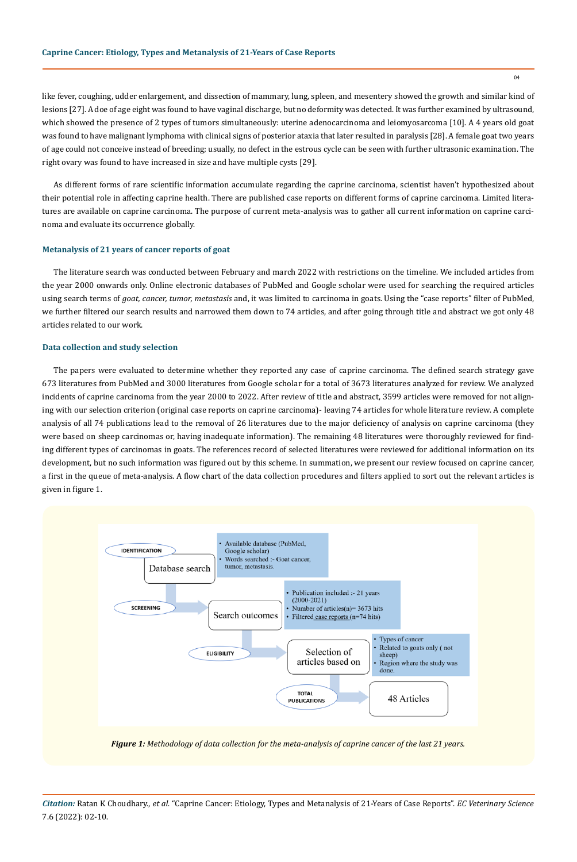like fever, coughing, udder enlargement, and dissection of mammary, lung, spleen, and mesentery showed the growth and similar kind of lesions [27]. A doe of age eight was found to have vaginal discharge, but no deformity was detected. It was further examined by ultrasound, which showed the presence of 2 types of tumors simultaneously: uterine adenocarcinoma and leiomyosarcoma [10]. A 4 years old goat was found to have malignant lymphoma with clinical signs of posterior ataxia that later resulted in paralysis [28]. A female goat two years of age could not conceive instead of breeding; usually, no defect in the estrous cycle can be seen with further ultrasonic examination. The right ovary was found to have increased in size and have multiple cysts [29].

As different forms of rare scientific information accumulate regarding the caprine carcinoma, scientist haven't hypothesized about their potential role in affecting caprine health. There are published case reports on different forms of caprine carcinoma. Limited literatures are available on caprine carcinoma. The purpose of current meta-analysis was to gather all current information on caprine carcinoma and evaluate its occurrence globally.

### **Metanalysis of 21 years of cancer reports of goat**

The literature search was conducted between February and march 2022 with restrictions on the timeline. We included articles from the year 2000 onwards only. Online electronic databases of PubMed and Google scholar were used for searching the required articles using search terms of *goat, cancer, tumor, metastasis* and, it was limited to carcinoma in goats. Using the "case reports" filter of PubMed, we further filtered our search results and narrowed them down to 74 articles, and after going through title and abstract we got only 48 articles related to our work.

#### **Data collection and study selection**

The papers were evaluated to determine whether they reported any case of caprine carcinoma. The defined search strategy gave 673 literatures from PubMed and 3000 literatures from Google scholar for a total of 3673 literatures analyzed for review. We analyzed incidents of caprine carcinoma from the year 2000 to 2022. After review of title and abstract, 3599 articles were removed for not aligning with our selection criterion (original case reports on caprine carcinoma)- leaving 74 articles for whole literature review. A complete analysis of all 74 publications lead to the removal of 26 literatures due to the major deficiency of analysis on caprine carcinoma (they were based on sheep carcinomas or, having inadequate information). The remaining 48 literatures were thoroughly reviewed for finding different types of carcinomas in goats. The references record of selected literatures were reviewed for additional information on its development, but no such information was figured out by this scheme. In summation, we present our review focused on caprine cancer, a first in the queue of meta-analysis. A flow chart of the data collection procedures and filters applied to sort out the relevant articles is given in figure 1.



*Figure 1: Methodology of data collection for the meta-analysis of caprine cancer of the last 21 years.*

*Citation:* Ratan K Choudhary., *et al.* "Caprine Cancer: Etiology, Types and Metanalysis of 21-Years of Case Reports". *EC Veterinary Science*  7.6 (2022): 02-10.

04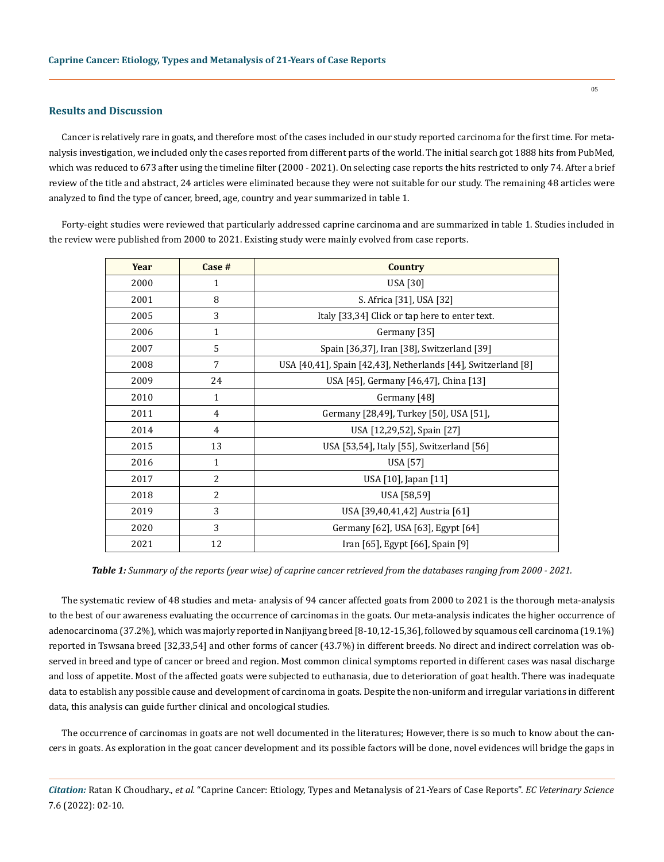#### **Results and Discussion**

Cancer is relatively rare in goats, and therefore most of the cases included in our study reported carcinoma for the first time. For metanalysis investigation, we included only the cases reported from different parts of the world. The initial search got 1888 hits from PubMed, which was reduced to 673 after using the timeline filter (2000 - 2021). On selecting case reports the hits restricted to only 74. After a brief review of the title and abstract, 24 articles were eliminated because they were not suitable for our study. The remaining 48 articles were analyzed to find the type of cancer, breed, age, country and year summarized in table 1.

Forty-eight studies were reviewed that particularly addressed caprine carcinoma and are summarized in table 1. Studies included in the review were published from 2000 to 2021. Existing study were mainly evolved from case reports.

| Year | $Case #$       | <b>Country</b>                                                |
|------|----------------|---------------------------------------------------------------|
| 2000 | $\mathbf{1}$   | USA [30]                                                      |
| 2001 | 8              | S. Africa [31], USA [32]                                      |
| 2005 | 3              | Italy [33,34] Click or tap here to enter text.                |
| 2006 | $\mathbf{1}$   | Germany [35]                                                  |
| 2007 | 5              | Spain [36,37], Iran [38], Switzerland [39]                    |
| 2008 | 7              | USA [40,41], Spain [42,43], Netherlands [44], Switzerland [8] |
| 2009 | 24             | USA [45], Germany [46,47], China [13]                         |
| 2010 | $\mathbf{1}$   | Germany [48]                                                  |
| 2011 | 4              | Germany [28,49], Turkey [50], USA [51],                       |
| 2014 | 4              | USA [12,29,52], Spain [27]                                    |
| 2015 | 13             | USA [53,54], Italy [55], Switzerland [56]                     |
| 2016 | $\mathbf{1}$   | USA [57]                                                      |
| 2017 | $\overline{2}$ | USA [10], Japan [11]                                          |
| 2018 | 2              | USA [58,59]                                                   |
| 2019 | 3              | USA [39,40,41,42] Austria [61]                                |
| 2020 | 3              | Germany [62], USA [63], Egypt [64]                            |
| 2021 | 12             | Iran [65], Egypt [66], Spain [9]                              |

*Table 1: Summary of the reports (year wise) of caprine cancer retrieved from the databases ranging from 2000 - 2021.*

The systematic review of 48 studies and meta- analysis of 94 cancer affected goats from 2000 to 2021 is the thorough meta-analysis to the best of our awareness evaluating the occurrence of carcinomas in the goats. Our meta-analysis indicates the higher occurrence of adenocarcinoma (37.2%), which was majorly reported in Nanjiyang breed [8-10,12-15,36], followed by squamous cell carcinoma (19.1%) reported in Tswsana breed [32,33,54] and other forms of cancer (43.7%) in different breeds. No direct and indirect correlation was observed in breed and type of cancer or breed and region. Most common clinical symptoms reported in different cases was nasal discharge and loss of appetite. Most of the affected goats were subjected to euthanasia, due to deterioration of goat health. There was inadequate data to establish any possible cause and development of carcinoma in goats. Despite the non-uniform and irregular variations in different data, this analysis can guide further clinical and oncological studies.

The occurrence of carcinomas in goats are not well documented in the literatures; However, there is so much to know about the cancers in goats. As exploration in the goat cancer development and its possible factors will be done, novel evidences will bridge the gaps in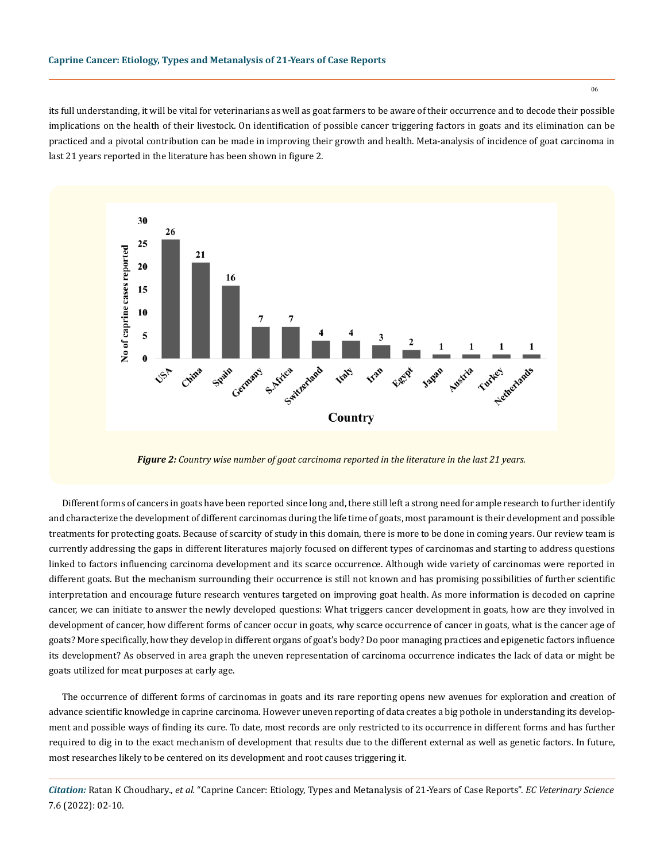its full understanding, it will be vital for veterinarians as well as goat farmers to be aware of their occurrence and to decode their possible implications on the health of their livestock. On identification of possible cancer triggering factors in goats and its elimination can be practiced and a pivotal contribution can be made in improving their growth and health. Meta-analysis of incidence of goat carcinoma in last 21 years reported in the literature has been shown in figure 2.



*Figure 2: Country wise number of goat carcinoma reported in the literature in the last 21 years.*

Different forms of cancers in goats have been reported since long and, there still left a strong need for ample research to further identify and characterize the development of different carcinomas during the life time of goats, most paramount is their development and possible treatments for protecting goats. Because of scarcity of study in this domain, there is more to be done in coming years. Our review team is currently addressing the gaps in different literatures majorly focused on different types of carcinomas and starting to address questions linked to factors influencing carcinoma development and its scarce occurrence. Although wide variety of carcinomas were reported in different goats. But the mechanism surrounding their occurrence is still not known and has promising possibilities of further scientific interpretation and encourage future research ventures targeted on improving goat health. As more information is decoded on caprine cancer, we can initiate to answer the newly developed questions: What triggers cancer development in goats, how are they involved in development of cancer, how different forms of cancer occur in goats, why scarce occurrence of cancer in goats, what is the cancer age of goats? More specifically, how they develop in different organs of goat's body? Do poor managing practices and epigenetic factors influence its development? As observed in area graph the uneven representation of carcinoma occurrence indicates the lack of data or might be goats utilized for meat purposes at early age.

The occurrence of different forms of carcinomas in goats and its rare reporting opens new avenues for exploration and creation of advance scientific knowledge in caprine carcinoma. However uneven reporting of data creates a big pothole in understanding its development and possible ways of finding its cure. To date, most records are only restricted to its occurrence in different forms and has further required to dig in to the exact mechanism of development that results due to the different external as well as genetic factors. In future, most researches likely to be centered on its development and root causes triggering it.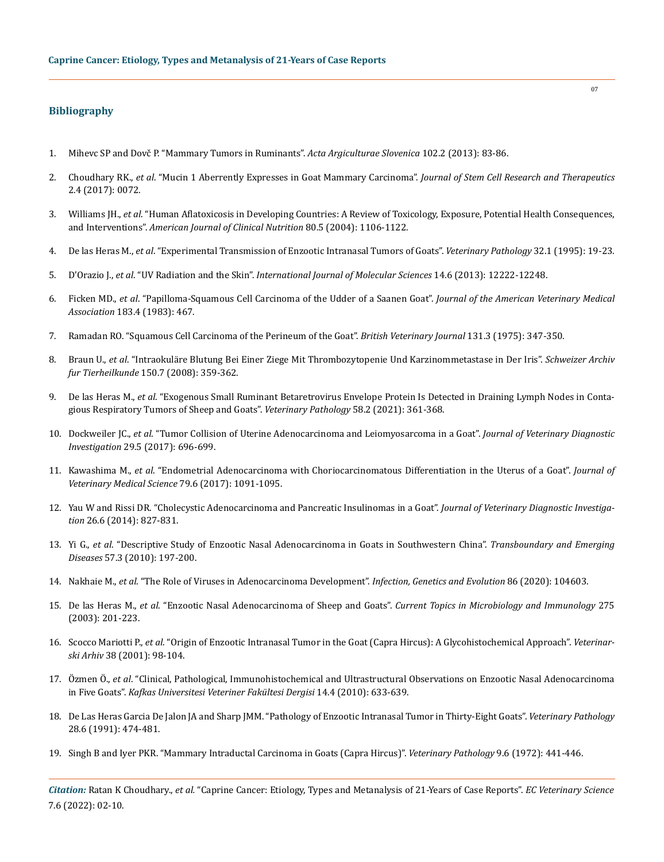## **Bibliography**

- 1. [Mihevc SP and Dovč P. "Mammary Tumors in Ruminants".](https://www.researchgate.net/publication/259717467_Mammary_tumors_in_ruminants) *Acta Argiculturae Slovenica* 102.2 (2013): 83-86.
- 2. Choudhary RK., *et al*[. "Mucin 1 Aberrently Expresses in Goat Mammary Carcinoma".](https://medcraveonline.com/JSRT/mucin-1-aberrantly-expresses-in-goat-mammary-carcinoma.html) *Journal of Stem Cell Research and Therapeutics* [2.4 \(2017\): 0072.](https://medcraveonline.com/JSRT/mucin-1-aberrantly-expresses-in-goat-mammary-carcinoma.html)
- 3. Williams JH., *et al*[. "Human Aflatoxicosis in Developing Countries: A Review of Toxicology, Exposure, Potential Health Consequences,](https://pubmed.ncbi.nlm.nih.gov/15531656/)  and Interventions". *[American Journal of Clinical Nutrition](https://pubmed.ncbi.nlm.nih.gov/15531656/)* 80.5 (2004): 1106-1122.
- 4. De las Heras M., *et al*[. "Experimental Transmission of Enzootic Intranasal Tumors of Goats".](https://pubmed.ncbi.nlm.nih.gov/7725594/) *Veterinary Pathology* 32.1 (1995): 19-23.
- 5. D'Orazio J., *et al*. "UV Radiation and the Skin". *[International Journal of Molecular Sciences](https://www.ncbi.nlm.nih.gov/pmc/articles/PMC3709783/)* 14.6 (2013): 12222-12248.
- 6. Ficken MD., *et al*[. "Papilloma-Squamous Cell Carcinoma of the Udder of a Saanen Goat".](https://pubmed.ncbi.nlm.nih.gov/6618979/) *Journal of the American Veterinary Medical Association* [183.4 \(1983\): 467.](https://pubmed.ncbi.nlm.nih.gov/6618979/)
- 7. [Ramadan RO. "Squamous Cell Carcinoma of the Perineum of the Goat".](https://www.sciencedirect.com/science/article/abs/pii/S0007193517352922) *British Veterinary Journal* 131.3 (1975): 347-350.
- 8. Braun U., *et al*[. "Intraokuläre Blutung Bei Einer Ziege Mit Thrombozytopenie Und Karzinommetastase in Der Iris".](https://www.researchgate.net/publication/224837108_Intraokulare_Blutung_bei_einer_Ziege_mit_Thrombozytopenie_und_Karzinommetastase_in_der_Iris) *Schweizer Archiv fur Tierheilkunde* [150.7 \(2008\): 359-362.](https://www.researchgate.net/publication/224837108_Intraokulare_Blutung_bei_einer_Ziege_mit_Thrombozytopenie_und_Karzinommetastase_in_der_Iris)
- 9. De las Heras M., *et al*[. "Exogenous Small Ruminant Betaretrovirus Envelope Protein Is Detected in Draining Lymph Nodes in Conta](https://pubmed.ncbi.nlm.nih.gov/33357120/)[gious Respiratory Tumors of Sheep and Goats".](https://pubmed.ncbi.nlm.nih.gov/33357120/) *Veterinary Pathology* 58.2 (2021): 361-368.
- 10. Dockweiler JC., *et al*[. "Tumor Collision of Uterine Adenocarcinoma and Leiomyosarcoma in a Goat".](https://pubmed.ncbi.nlm.nih.gov/28423988/) *Journal of Veterinary Diagnostic Investigation* [29.5 \(2017\): 696-699.](https://pubmed.ncbi.nlm.nih.gov/28423988/)
- 11. Kawashima M., *et al*[. "Endometrial Adenocarcinoma with Choriocarcinomatous Differentiation in the Uterus of a Goat".](https://www.ncbi.nlm.nih.gov/pmc/articles/PMC5487789/) *Journal of [Veterinary Medical Science](https://www.ncbi.nlm.nih.gov/pmc/articles/PMC5487789/)* 79.6 (2017): 1091-1095.
- 12. [Yau W and Rissi DR. "Cholecystic Adenocarcinoma and Pancreatic Insulinomas in a Goat".](https://pubmed.ncbi.nlm.nih.gov/25274741/) *Journal of Veterinary Diagnostic Investigation* [26.6 \(2014\): 827-831.](https://pubmed.ncbi.nlm.nih.gov/25274741/)
- 13. Yi G., *et al*[. "Descriptive Study of Enzootic Nasal Adenocarcinoma in Goats in Southwestern China".](https://pubmed.ncbi.nlm.nih.gov/20180924/) *Transboundary and Emerging Diseases* [57.3 \(2010\): 197-200.](https://pubmed.ncbi.nlm.nih.gov/20180924/)
- 14. Nakhaie M., *et al*[. "The Role of Viruses in Adenocarcinoma Development".](https://pubmed.ncbi.nlm.nih.gov/33091575/) *Infection, Genetics and Evolution* 86 (2020): 104603.
- 15. De las Heras M., *et al*[. "Enzootic Nasal Adenocarcinoma of Sheep and Goats".](https://link.springer.com/chapter/10.1007/978-3-642-55638-8_8) *Current Topics in Microbiology and Immunology* 275 [\(2003\): 201-223.](https://link.springer.com/chapter/10.1007/978-3-642-55638-8_8)
- 16. Scocco Mariotti P., *et al*[. "Origin of Enzootic Intranasal Tumor in the Goat \(Capra Hircus\): A Glycohistochemical Approach".](https://pubmed.ncbi.nlm.nih.gov/11199170/) *Veterinarski Arhiv* [38 \(2001\): 98-104.](https://pubmed.ncbi.nlm.nih.gov/11199170/)
- 17. Özmen Ö., *et al*[. "Clinical, Pathological, Immunohistochemical and Ultrastructural Observations on Enzootic Nasal Adenocarcinoma](https://www.researchgate.net/publication/286177846_Clinical_Pathological_Immunohistochemical_and_Ultrastructural_Observations_on_Enzootic_Nasal_Adenocarcinoma_in_Five_Goats)  in Five Goats". *[Kafkas Universitesi Veteriner Fakültesi Dergisi](https://www.researchgate.net/publication/286177846_Clinical_Pathological_Immunohistochemical_and_Ultrastructural_Observations_on_Enzootic_Nasal_Adenocarcinoma_in_Five_Goats)* 14.4 (2010): 633-639.
- 18. [De Las Heras Garcia De Jalon JA and Sharp JMM. "Pathology of Enzootic Intranasal Tumor in Thirty-Eight Goats".](https://pubmed.ncbi.nlm.nih.gov/1771737/) *Veterinary Pathology* [28.6 \(1991\): 474-481.](https://pubmed.ncbi.nlm.nih.gov/1771737/)
- 19. [Singh B and Iyer PKR. "Mammary Intraductal Carcinoma in Goats \(Capra Hircus\)".](https://pubmed.ncbi.nlm.nih.gov/29883991/) *Veterinary Pathology* 9.6 (1972): 441-446.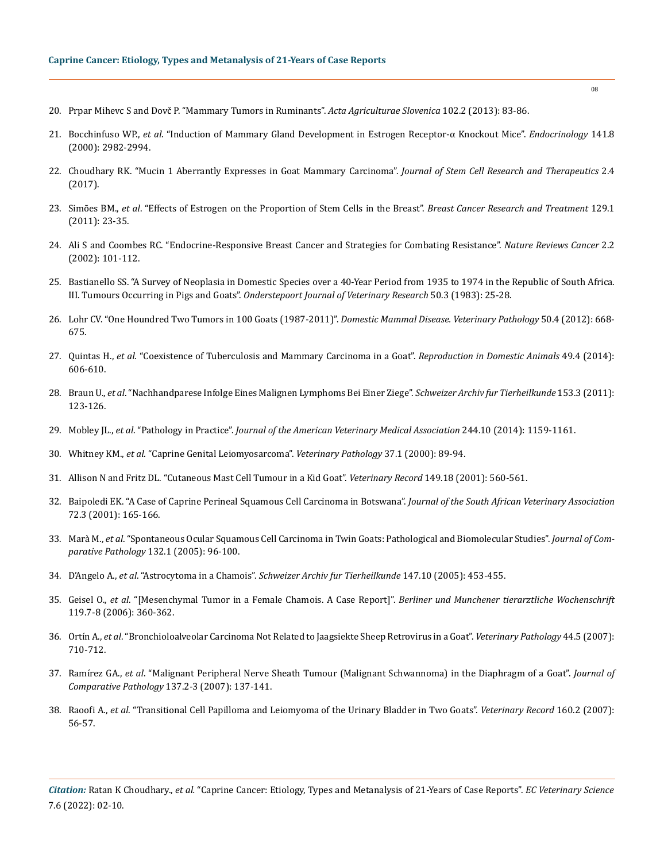- 20. [Prpar Mihevc S and Dovč P. "Mammary Tumors in Ruminants".](https://www.researchgate.net/publication/259717467_Mammary_tumors_in_ruminants) *Acta Agriculturae Slovenica* 102.2 (2013): 83-86.
- 21. Bocchinfuso WP., *et al*[. "Induction of Mammary Gland Development in Estrogen Receptor-α Knockout Mice".](https://academic.oup.com/endo/article/141/8/2982/2988701) *Endocrinology* 141.8 [\(2000\): 2982-2994.](https://academic.oup.com/endo/article/141/8/2982/2988701)
- 22. [Choudhary RK. "Mucin 1 Aberrantly Expresses in Goat Mammary Carcinoma".](https://medcraveonline.com/JSRT/mucin-1-aberrantly-expresses-in-goat-mammary-carcinoma.html) *Journal of Stem Cell Research and Therapeutics* 2.4 [\(2017\).](https://medcraveonline.com/JSRT/mucin-1-aberrantly-expresses-in-goat-mammary-carcinoma.html)
- 23. Simões BM., *et al*[. "Effects of Estrogen on the Proportion of Stem Cells in the Breast".](https://link.springer.com/article/10.1007/s10549-010-1169-4) *Breast Cancer Research and Treatment* 129.1 [\(2011\): 23-35.](https://link.springer.com/article/10.1007/s10549-010-1169-4)
- 24. [Ali S and Coombes RC. "Endocrine-Responsive Breast Cancer and Strategies for Combating Resistance".](https://pubmed.ncbi.nlm.nih.gov/12635173/) *Nature Reviews Cancer* 2.2 [\(2002\): 101-112.](https://pubmed.ncbi.nlm.nih.gov/12635173/)
- 25. [Bastianello SS. "A Survey of Neoplasia in Domestic Species over a 40-Year Period from 1935 to 1974 in the Republic of South Africa.](https://pubmed.ncbi.nlm.nih.gov/6877789/)  III. Tumours Occurring in Pigs and Goats". *[Onderstepoort Journal of Veterinary Research](https://pubmed.ncbi.nlm.nih.gov/6877789/)* 50.3 (1983): 25-28.
- 26. [Lohr CV. "One Houndred Two Tumors in 100 Goats \(1987-2011\)".](https://pubmed.ncbi.nlm.nih.gov/23341420/) *Domestic Mammal Disease. Veterinary Pathology* 50.4 (2012): 668- [675.](https://pubmed.ncbi.nlm.nih.gov/23341420/)
- 27. Quintas H., *et al*[. "Coexistence of Tuberculosis and Mammary Carcinoma in a Goat".](https://pubmed.ncbi.nlm.nih.gov/24888466/) *Reproduction in Domestic Animals* 49.4 (2014): [606-610.](https://pubmed.ncbi.nlm.nih.gov/24888466/)
- 28. Braun U., *et al*[. "Nachhandparese Infolge Eines Malignen Lymphoms Bei Einer Ziege".](https://sat.gstsvs.ch/fileadmin/media/pdf/archive/2011/03/SAT153030123.pdf) *Schweizer Archiv fur Tierheilkunde* 153.3 (2011): [123-126.](https://sat.gstsvs.ch/fileadmin/media/pdf/archive/2011/03/SAT153030123.pdf)
- 29. Mobley JL., *et al*. "Pathology in Practice". *[Journal of the American Veterinary Medical Association](https://pubmed.ncbi.nlm.nih.gov/24697765/)* 244.10 (2014): 1159-1161.
- 30. Whitney KM., *et al*[. "Caprine Genital Leiomyosarcoma".](https://pubmed.ncbi.nlm.nih.gov/10643987/) *Veterinary Pathology* 37.1 (2000): 89-94.
- 31. [Allison N and Fritz DL. "Cutaneous Mast Cell Tumour in a Kid Goat".](https://www.semanticscholar.org/paper/Cutaneous-mast-cell-tumour-in-a-kid-goat-Allison-Fritz/b4b29a0bc33c1f1c62850b4d2a61698760dcecd9) *Veterinary Record* 149.18 (2001): 560-561.
- 32. [Baipoledi EK. "A Case of Caprine Perineal Squamous Cell Carcinoma in Botswana".](https://pubmed.ncbi.nlm.nih.gov/11811706/) *Journal of the South African Veterinary Association*  [72.3 \(2001\): 165-166.](https://pubmed.ncbi.nlm.nih.gov/11811706/)
- 33. Marà M., *et al*[. "Spontaneous Ocular Squamous Cell Carcinoma in Twin Goats: Pathological and Biomolecular Studies".](https://pubmed.ncbi.nlm.nih.gov/15629484/) *Journal of Comparative Pathology* [132.1 \(2005\): 96-100.](https://pubmed.ncbi.nlm.nih.gov/15629484/)
- 34. D'Angelo A., *et al*. "Astrocytoma in a Chamois". *[Schweizer Archiv fur Tierheilkunde](https://pubmed.ncbi.nlm.nih.gov/16259411/)* 147.10 (2005): 453-455.
- 35. Geisel O., *et al*[. "\[Mesenchymal Tumor in a Female Chamois. A Case Report\]".](https://pubmed.ncbi.nlm.nih.gov/17009723/) *Berliner und Munchener tierarztliche Wochenschrift* [119.7-8 \(2006\): 360-362.](https://pubmed.ncbi.nlm.nih.gov/17009723/)
- 36. Ortín A., *et al*[. "Bronchioloalveolar Carcinoma Not Related to Jaagsiekte Sheep Retrovirus in a Goat".](https://pubmed.ncbi.nlm.nih.gov/17846248/) *Veterinary Pathology* 44.5 (2007): [710-712.](https://pubmed.ncbi.nlm.nih.gov/17846248/)
- 37. Ramírez GA., *et al*[. "Malignant Peripheral Nerve Sheath Tumour \(Malignant Schwannoma\) in the Diaphragm of a Goat".](https://pubmed.ncbi.nlm.nih.gov/17645892/) *Journal of [Comparative Pathology](https://pubmed.ncbi.nlm.nih.gov/17645892/)* 137.2-3 (2007): 137-141.
- 38. Raoofi A., *et al*[. "Transitional Cell Papilloma and Leiomyoma of the Urinary Bladder in Two Goats".](https://pubmed.ncbi.nlm.nih.gov/17220524/) *Veterinary Record* 160.2 (2007): [56-57.](https://pubmed.ncbi.nlm.nih.gov/17220524/)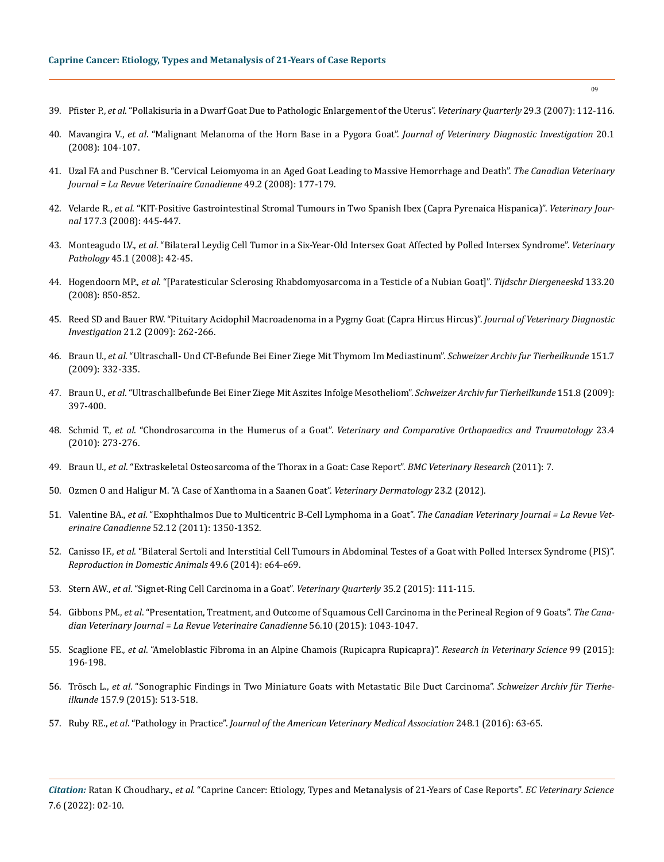- 39. Pfister P., *et al*[. "Pollakisuria in a Dwarf Goat Due to Pathologic Enlargement of the Uterus".](https://pubmed.ncbi.nlm.nih.gov/17970288/) *Veterinary Quarterly* 29.3 (2007): 112-116.
- 40. Mavangira V., *et al*[. "Malignant Melanoma of the Horn Base in a Pygora Goat".](https://pubmed.ncbi.nlm.nih.gov/18182522/) *Journal of Veterinary Diagnostic Investigation* 20.1 [\(2008\): 104-107.](https://pubmed.ncbi.nlm.nih.gov/18182522/)
- 41. [Uzal FA and Puschner B. "Cervical Leiomyoma in an Aged Goat Leading to Massive Hemorrhage and Death".](https://pubmed.ncbi.nlm.nih.gov/18309748/) *The Canadian Veterinary [Journal = La Revue Veterinaire Canadienne](https://pubmed.ncbi.nlm.nih.gov/18309748/)* 49.2 (2008): 177-179.
- 42. Velarde R., *et al*[. "KIT-Positive Gastrointestinal Stromal Tumours in Two Spanish Ibex \(Capra Pyrenaica Hispanica\)".](https://www.sciencedirect.com/science/article/abs/pii/S1090023307002055) *Veterinary Journal* [177.3 \(2008\): 445-447.](https://www.sciencedirect.com/science/article/abs/pii/S1090023307002055)
- 43. Monteagudo LV., *et al*[. "Bilateral Leydig Cell Tumor in a Six-Year-Old Intersex Goat Affected by Polled Intersex Syndrome".](https://pubmed.ncbi.nlm.nih.gov/18192573/) *Veterinary Pathology* [45.1 \(2008\): 42-45.](https://pubmed.ncbi.nlm.nih.gov/18192573/)
- 44. Hogendoorn MP., *et al*[. "\[Paratesticular Sclerosing Rhabdomyosarcoma in a Testicle of a Nubian Goat\]".](https://pubmed.ncbi.nlm.nih.gov/18975625/) *Tijdschr Diergeneeskd* 133.20 [\(2008\): 850-852.](https://pubmed.ncbi.nlm.nih.gov/18975625/)
- 45. [Reed SD and Bauer RW. "Pituitary Acidophil Macroadenoma in a Pygmy Goat \(Capra Hircus Hircus\)".](https://pubmed.ncbi.nlm.nih.gov/19286511/) *Journal of Veterinary Diagnostic Investigation* [21.2 \(2009\): 262-266.](https://pubmed.ncbi.nlm.nih.gov/19286511/)
- 46. Braun U., *et al*[. "Ultraschall- Und CT-Befunde Bei Einer Ziege Mit Thymom Im Mediastinum".](https://www.researchgate.net/publication/248779627_Ultraschall-_und_CT-Befunde_bei_einer_Ziege_mit_Thymom_im_Mediastinum) *Schweizer Archiv fur Tierheilkunde* 151.7 [\(2009\): 332-335.](https://www.researchgate.net/publication/248779627_Ultraschall-_und_CT-Befunde_bei_einer_Ziege_mit_Thymom_im_Mediastinum)
- 47. Braun U., *et al*[. "Ultraschallbefunde Bei Einer Ziege Mit Aszites Infolge Mesotheliom".](https://sat.gstsvs.ch/fileadmin/media/pdf/archive/2009/08/SAT151080397.pdf) *Schweizer Archiv fur Tierheilkunde* 151.8 (2009): [397-400.](https://sat.gstsvs.ch/fileadmin/media/pdf/archive/2009/08/SAT151080397.pdf)
- 48. Schmid T., *et al*. "Chondrosarcoma in the Humerus of a Goat". *[Veterinary and Comparative Orthopaedics and Traumatology](https://pubmed.ncbi.nlm.nih.gov/20585719/)* 23.4 [\(2010\): 273-276.](https://pubmed.ncbi.nlm.nih.gov/20585719/)
- 49. Braun U., *et al*[. "Extraskeletal Osteosarcoma of the Thorax in a Goat: Case Report".](https://bmcvetres.biomedcentral.com/articles/10.1186/1746-6148-7-55) *BMC Veterinary Research* (2011): 7.
- 50. [Ozmen O and Haligur M. "A Case of Xanthoma in a Saanen Goat".](https://pubmed.ncbi.nlm.nih.gov/21883545/) *Veterinary Dermatology* 23.2 (2012).
- 51. Valentine BA., *et al*[. "Exophthalmos Due to Multicentric B-Cell Lymphoma in a Goat".](https://www.ncbi.nlm.nih.gov/pmc/articles/PMC3215472/) *The Canadian Veterinary Journal = La Revue Veterinaire Canadienne* [52.12 \(2011\): 1350-1352.](https://www.ncbi.nlm.nih.gov/pmc/articles/PMC3215472/)
- 52. Canisso IF., *et al*[. "Bilateral Sertoli and Interstitial Cell Tumours in Abdominal Testes of a Goat with Polled Intersex Syndrome \(PIS\)".](https://pubmed.ncbi.nlm.nih.gov/25219569/)  *[Reproduction in Domestic Animals](https://pubmed.ncbi.nlm.nih.gov/25219569/)* 49.6 (2014): e64-e69.
- 53. Stern AW., *et al*[. "Signet-Ring Cell Carcinoma in a Goat".](https://pubmed.ncbi.nlm.nih.gov/25651076/) *Veterinary Quarterly* 35.2 (2015): 111-115.
- 54. Gibbons PM., *et al*[. "Presentation, Treatment, and Outcome of Squamous Cell Carcinoma in the Perineal Region of 9 Goats".](https://pubmed.ncbi.nlm.nih.gov/26483578/) *The Cana[dian Veterinary Journal = La Revue Veterinaire Canadienne](https://pubmed.ncbi.nlm.nih.gov/26483578/)* 56.10 (2015): 1043-1047.
- 55. Scaglione FE., *et al*[. "Ameloblastic Fibroma in an Alpine Chamois \(Rupicapra Rupicapra\)".](https://pubmed.ncbi.nlm.nih.gov/25660399/) *Research in Veterinary Science* 99 (2015): [196-198.](https://pubmed.ncbi.nlm.nih.gov/25660399/)
- 56. Trösch L., *et al*[. "Sonographic Findings in Two Miniature Goats with Metastatic Bile Duct Carcinoma".](https://www.researchgate.net/publication/282936140_Sonographic_findings_in_two_miniature_goats_with_metastatic_bile_duct_carcinoma) *Schweizer Archiv für Tierheilkunde* [157.9 \(2015\): 513-518.](https://www.researchgate.net/publication/282936140_Sonographic_findings_in_two_miniature_goats_with_metastatic_bile_duct_carcinoma)
- 57. Ruby RE., *et al*. "Pathology in Practice". *[Journal of the American Veterinary Medical Association](https://pubmed.ncbi.nlm.nih.gov/26799103/)* 248.1 (2016): 63-65.

09